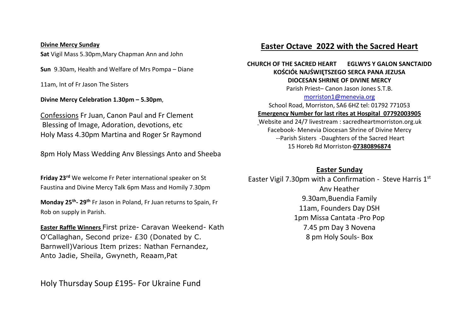#### **Divine Mercy Sunday**

**Sat** Vigil Mass 5.30pm,Mary Chapman Ann and John

**Sun** 9.30am, Health and Welfare of Mrs Pompa – Diane

11am, Int of Fr Jason The Sisters

**Divine Mercy Celebration 1.30pm – 5.30pm**,

Confessions Fr Juan, Canon Paul and Fr Clement Blessing of Image, Adoration, devotions, etc Holy Mass 4.30pm Martina and Roger Sr Raymond

8pm Holy Mass Wedding Anv Blessings Anto and Sheeba

**Friday 23rd** We welcome Fr Peter international speaker on St Faustina and Divine Mercy Talk 6pm Mass and Homily 7.30pm

**Monday 25th - 29th** Fr Jason in Poland, Fr Juan returns to Spain, Fr Rob on supply in Parish.

**Easter Raffle Winners** First prize- Caravan Weekend- Kath O'Callaghan, Second prize- £30 (Donated by C. Barnwell)Various Item prizes: Nathan Fernandez, Anto Jadie, Sheila, Gwyneth, Reaam,Pat

Holy Thursday Soup £195- For Ukraine Fund

# **Easter Octave 2022 with the Sacred Heart**

#### **CHURCH OF THE SACRED HEART EGLWYS Y GALON SANCTAIDD KOŚCIÓŁ NAJŚWIĘTSZEGO SERCA PANA JEZUSA DIOCESAN SHRINE OF DIVINE MERCY**

Parish Priest– Canon Jason Jones S.T.B.

#### [morriston1@menevia.org](mailto:morriston1@menevia.org)

School Road, Morriston, SA6 6HZ tel: 01792 771053 **Emergency Number for last rites at Hospital 07792003905**

Website and 24/7 livestream : sacredheartmorriston.org.uk Facebook- Menevia Diocesan Shrine of Divine Mercy --Parish Sisters -Daughters of the Sacred Heart 15 Horeb Rd Morriston-**07380896874**

### **Easter Sunday**

Easter Vigil 7.30pm with a Confirmation - Steve Harris 1st Anv Heather 9.30am,Buendia Family 11am, Founders Day DSH 1pm Missa Cantata -Pro Pop 7.45 pm Day 3 Novena 8 pm Holy Souls- Box